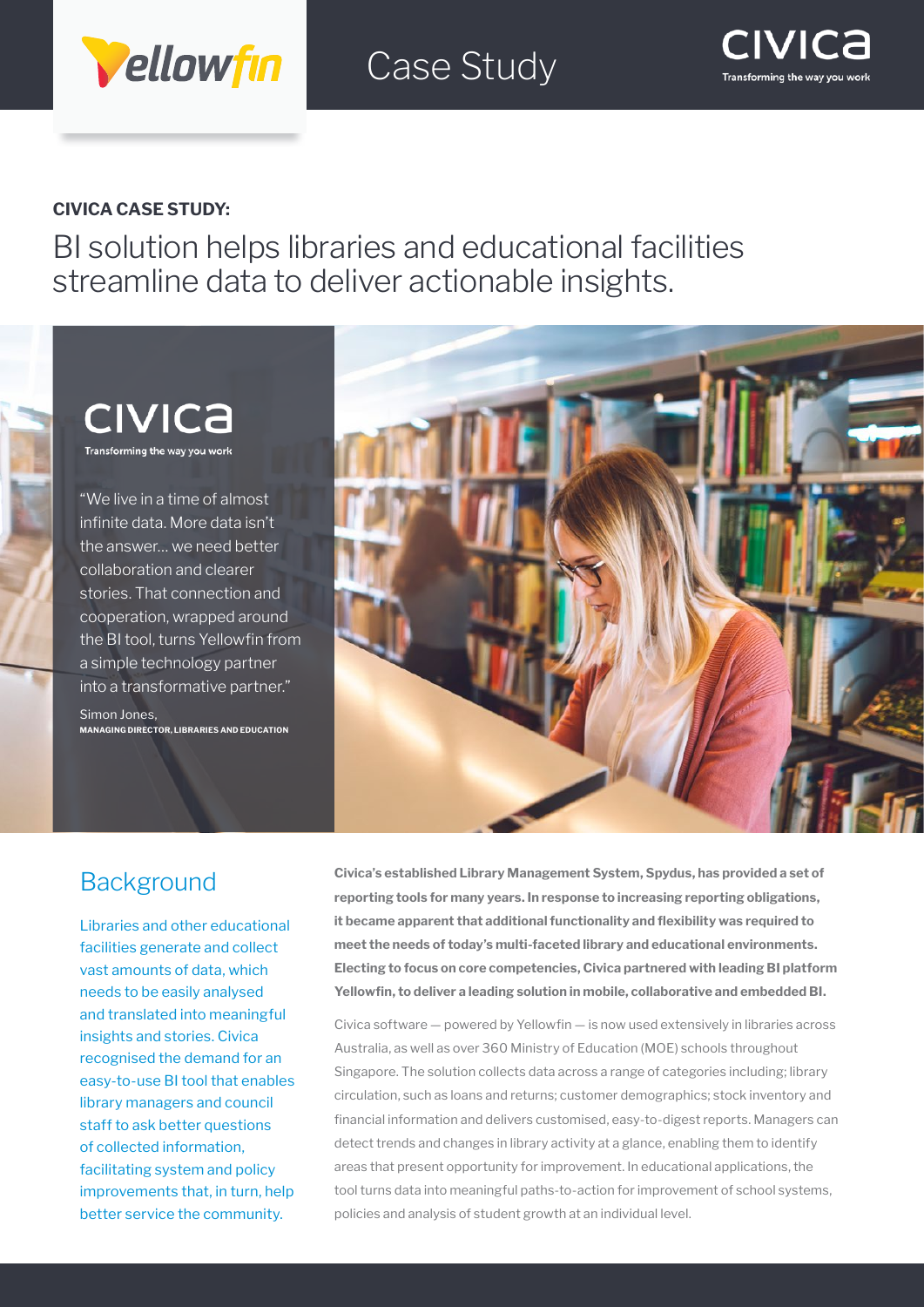

Case Study



#### **CIVICA CASE STUDY:**

BI solution helps libraries and educational facilities streamline data to deliver actionable insights.

### **CIVICA** Transforming the way you work

"We live in a time of almost infinite data. More data isn't the answer… we need better collaboration and clearer stories. That connection and cooperation, wrapped around the BI tool, turns Yellowfin from a simple technology partner into a transformative partner."

Simon Jones, **MANAGING DIRECTOR, LIBRARIES AND EDUCATION**



### **Background**

Libraries and other educational facilities generate and collect vast amounts of data, which needs to be easily analysed and translated into meaningful insights and stories. Civica recognised the demand for an easy-to-use BI tool that enables library managers and council staff to ask better questions of collected information, facilitating system and policy improvements that, in turn, help better service the community.

**Civica's established Library Management System, Spydus, has provided a set of reporting tools for many years. In response to increasing reporting obligations, it became apparent that additional functionality and flexibility was required to meet the needs of today's multi-faceted library and educational environments. Electing to focus on core competencies, Civica partnered with leading BI platform Yellowfin, to deliver a leading solution in mobile, collaborative and embedded BI.** 

Civica software — powered by Yellowfin — is now used extensively in libraries across Australia, as well as over 360 Ministry of Education (MOE) schools throughout Singapore. The solution collects data across a range of categories including; library circulation, such as loans and returns; customer demographics; stock inventory and financial information and delivers customised, easy-to-digest reports. Managers can detect trends and changes in library activity at a glance, enabling them to identify areas that present opportunity for improvement. In educational applications, the tool turns data into meaningful paths-to-action for improvement of school systems, policies and analysis of student growth at an individual level.